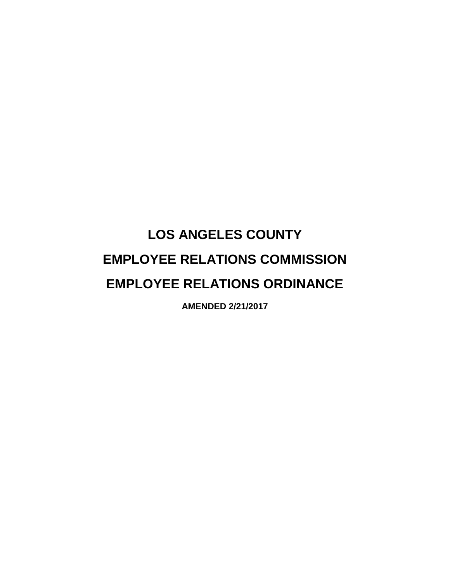## **LOS ANGELES COUNTY EMPLOYEE RELATIONS COMMISSION EMPLOYEE RELATIONS ORDINANCE**

**AMENDED 2/21/2017**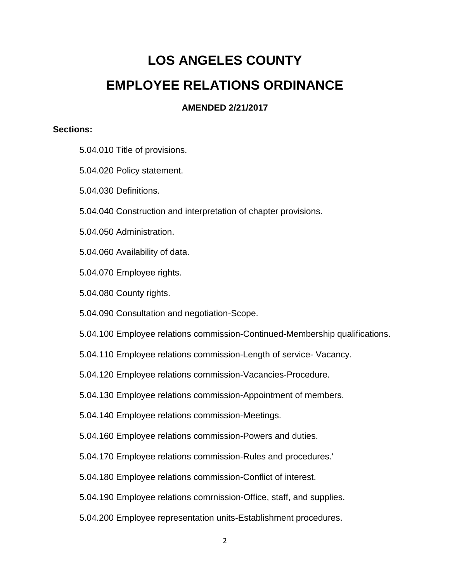## **LOS ANGELES COUNTY EMPLOYEE RELATIONS ORDINANCE**

## **AMENDED 2/21/2017**

## **Sections:**

- 5.04.010 Title of provisions.
- 5.04.020 Policy statement.
- 5.04.030 Definitions.
- 5.04.040 Construction and interpretation of chapter provisions.
- 5.04.050 Administration.
- 5.04.060 Availability of data.
- 5.04.070 Employee rights.
- 5.04.080 County rights.
- 5.04.090 Consultation and negotiation-Scope.
- 5.04.100 Employee relations commission-Continued-Membership qualifications.
- 5.04.110 Employee relations commission-Length of service- Vacancy.
- 5.04.120 Employee relations commission-Vacancies-Procedure.
- 5.04.130 Employee relations commission-Appointment of members.
- 5.04.140 Employee relations commission-Meetings.
- 5.04.160 Employee relations commission-Powers and duties.
- 5.04.170 Employee relations commission-Rules and procedures.'
- 5.04.180 Employee relations commission-Conflict of interest.
- 5.04.190 Employee relations comrnission-Office, staff, and supplies.
- 5.04.200 Employee representation units-Establishment procedures.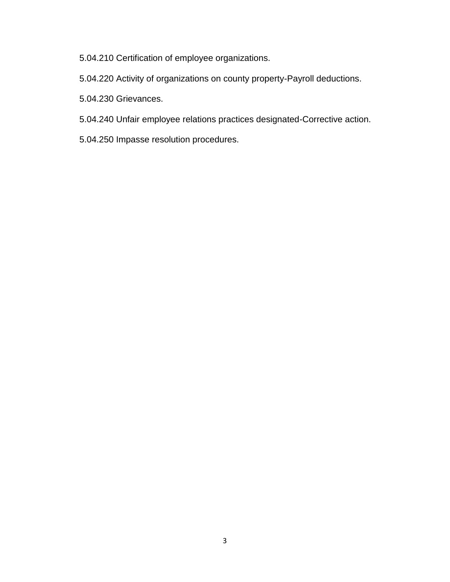5.04.210 Certification of employee organizations.

5.04.220 Activity of organizations on county property-Payroll deductions.

5.04.230 Grievances.

- 5.04.240 Unfair employee relations practices designated-Corrective action.
- 5.04.250 Impasse resolution procedures.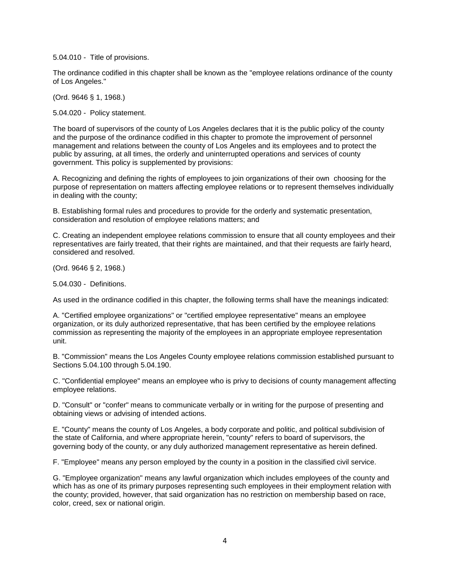5.04.010 - Title of provisions.

The ordinance codified in this chapter shall be known as the "employee relations ordinance of the county of Los Angeles."

(Ord. 9646 § 1, 1968.)

5.04.020 - Policy statement.

The board of supervisors of the county of Los Angeles declares that it is the public policy of the county and the purpose of the ordinance codified in this chapter to promote the improvement of personnel management and relations between the county of Los Angeles and its employees and to protect the public by assuring, at all times, the orderly and uninterrupted operations and services of county government. This policy is supplemented by provisions:

A. Recognizing and defining the rights of employees to join organizations of their own choosing for the purpose of representation on matters affecting employee relations or to represent themselves individually in dealing with the county;

B. Establishing formal rules and procedures to provide for the orderly and systematic presentation, consideration and resolution of employee relations matters; and

C. Creating an independent employee relations commission to ensure that all county employees and their representatives are fairly treated, that their rights are maintained, and that their requests are fairly heard, considered and resolved.

(Ord. 9646 § 2, 1968.)

5.04.030 - Definitions.

As used in the ordinance codified in this chapter, the following terms shall have the meanings indicated:

A. "Certified employee organizations" or "certified employee representative" means an employee organization, or its duly authorized representative, that has been certified by the employee relations commission as representing the majority of the employees in an appropriate employee representation unit.

B. "Commission" means the Los Angeles County employee relations commission established pursuant to Sections 5.04.100 through 5.04.190.

C. "Confidential employee" means an employee who is privy to decisions of county management affecting employee relations.

D. "Consult" or "confer" means to communicate verbally or in writing for the purpose of presenting and obtaining views or advising of intended actions.

E. "County" means the county of Los Angeles, a body corporate and politic, and political subdivision of the state of California, and where appropriate herein, "county" refers to board of supervisors, the governing body of the county, or any duly authorized management representative as herein defined.

F. "Employee" means any person employed by the county in a position in the classified civil service.

G. "Employee organization" means any lawful organization which includes employees of the county and which has as one of its primary purposes representing such employees in their employment relation with the county; provided, however, that said organization has no restriction on membership based on race, color, creed, sex or national origin.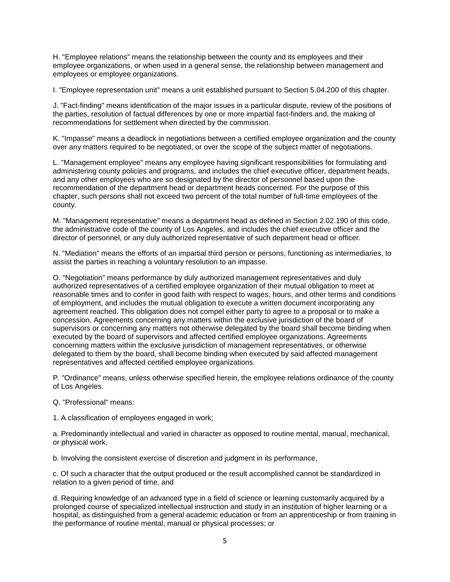H. "Employee relations" means the relationship between the county and its employees and their employee organizations, or when used in a general sense, the relationship between management and employees or employee organizations.

I. "Employee representation unit" means a unit established pursuant to Section 5.04.200 of this chapter.

J. "Fact-finding" means identification of the major issues in a particular dispute, review of the positions of the parties, resolution of factual differences by one or more impartial fact-finders and, the making of recommendations for settlement when directed by the commission.

K. "Impasse" means a deadlock in negotiations between a certified employee organization and the county over any matters required to be negotiated, or over the scope of the subject matter of negotiations.

L. "Management employee" means any employee having significant responsibilities for formulating and administering county policies and programs, and includes the chief executive officer, department heads, and any other employees who are so designated by the director of personnel based upon the recommendation of the department head or department heads concerned. For the purpose of this chapter, such persons shall not exceed two percent of the total number of full-time employees of the county.

M. "Management representative" means a department head as defined in Section 2.02.190 of this code, the administrative code of the county of Los Angeles, and includes the chief executive officer and the director of personnel, or any duly authorized representative of such department head or officer.

N. "Mediation" means the efforts of an impartial third person or persons, functioning as intermediaries, to assist the parties in reaching a voluntary resolution to an impasse.

O. "Negotiation" means performance by duly authorized management representatives and duly authorized representatives of a certified employee organization of their mutual obligation to meet at reasonable times and to confer in good faith with respect to wages, hours, and other terms and conditions of employment, and includes the mutual obligation to execute a written document incorporating any agreement reached. This obligation does not compel either party to agree to a proposal or to make a concession. Agreements concerning any matters within the exclusive jurisdiction of the board of supervisors or concerning any matters not otherwise delegated by the board shall become binding when executed by the board of supervisors and affected certified employee organizations. Agreements concerning matters within the exclusive jurisdiction of management representatives, or otherwise delegated to them by the board, shall become binding when executed by said affected management representatives and affected certified employee organizations.

P. "Ordinance" means, unless otherwise specified herein, the employee relations ordinance of the county of Los Angeles.

Q. "Professional" means:

1. A classification of employees engaged in work;

a. Predominantly intellectual and varied in character as opposed to routine mental, manual, mechanical, or physical work,

b. Involving the consistent exercise of discretion and judgment in its performance,

c. Of such a character that the output produced or the result accomplished cannot be standardized in relation to a given period of time, and

d. Requiring knowledge of an advanced type in a field of science or learning customarily acquired by a prolonged course of specialized intellectual instruction and study in an institution of higher learning or a hospital, as distinguished from a general academic education or from an apprenticeship or from training in the performance of routine mental, manual or physical processes; or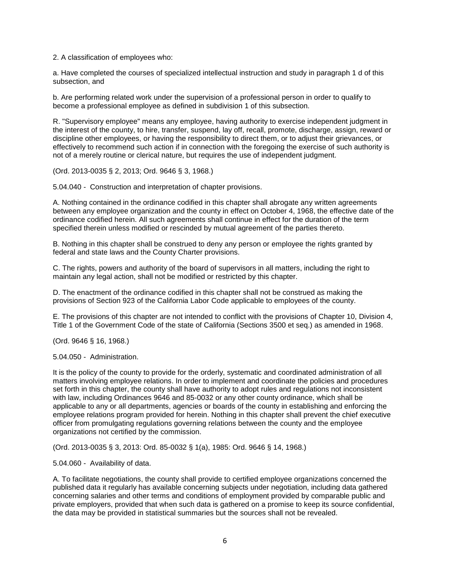2. A classification of employees who:

a. Have completed the courses of specialized intellectual instruction and study in paragraph 1 d of this subsection, and

b. Are performing related work under the supervision of a professional person in order to qualify to become a professional employee as defined in subdivision 1 of this subsection.

R. "Supervisory employee" means any employee, having authority to exercise independent judgment in the interest of the county, to hire, transfer, suspend, lay off, recall, promote, discharge, assign, reward or discipline other employees, or having the responsibility to direct them, or to adjust their grievances, or effectively to recommend such action if in connection with the foregoing the exercise of such authority is not of a merely routine or clerical nature, but requires the use of independent judgment.

(Ord. 2013-0035 § 2, 2013; Ord. 9646 § 3, 1968.)

5.04.040 - Construction and interpretation of chapter provisions.

A. Nothing contained in the ordinance codified in this chapter shall abrogate any written agreements between any employee organization and the county in effect on October 4, 1968, the effective date of the ordinance codified herein. All such agreements shall continue in effect for the duration of the term specified therein unless modified or rescinded by mutual agreement of the parties thereto.

B. Nothing in this chapter shall be construed to deny any person or employee the rights granted by federal and state laws and the County Charter provisions.

C. The rights, powers and authority of the board of supervisors in all matters, including the right to maintain any legal action, shall not be modified or restricted by this chapter.

D. The enactment of the ordinance codified in this chapter shall not be construed as making the provisions of Section 923 of the California Labor Code applicable to employees of the county.

E. The provisions of this chapter are not intended to conflict with the provisions of Chapter 10, Division 4, Title 1 of the Government Code of the state of California (Sections 3500 et seq.) as amended in 1968.

(Ord. 9646 § 16, 1968.)

5.04.050 - Administration.

It is the policy of the county to provide for the orderly, systematic and coordinated administration of all matters involving employee relations. In order to implement and coordinate the policies and procedures set forth in this chapter, the county shall have authority to adopt rules and regulations not inconsistent with law, including Ordinances 9646 and 85-0032 or any other county ordinance, which shall be applicable to any or all departments, agencies or boards of the county in establishing and enforcing the employee relations program provided for herein. Nothing in this chapter shall prevent the chief executive officer from promulgating regulations governing relations between the county and the employee organizations not certified by the commission.

(Ord. 2013-0035 § 3, 2013: Ord. 85-0032 § 1(a), 1985: Ord. 9646 § 14, 1968.)

5.04.060 - Availability of data.

A. To facilitate negotiations, the county shall provide to certified employee organizations concerned the published data it regularly has available concerning subjects under negotiation, including data gathered concerning salaries and other terms and conditions of employment provided by comparable public and private employers, provided that when such data is gathered on a promise to keep its source confidential, the data may be provided in statistical summaries but the sources shall not be revealed.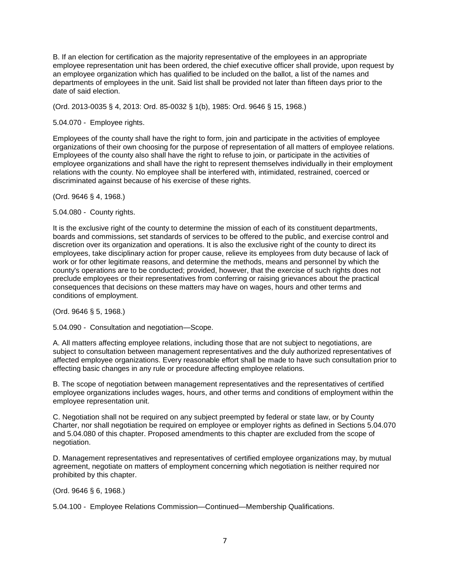B. If an election for certification as the majority representative of the employees in an appropriate employee representation unit has been ordered, the chief executive officer shall provide, upon request by an employee organization which has qualified to be included on the ballot, a list of the names and departments of employees in the unit. Said list shall be provided not later than fifteen days prior to the date of said election.

(Ord. 2013-0035 § 4, 2013: Ord. 85-0032 § 1(b), 1985: Ord. 9646 § 15, 1968.)

5.04.070 - Employee rights.

Employees of the county shall have the right to form, join and participate in the activities of employee organizations of their own choosing for the purpose of representation of all matters of employee relations. Employees of the county also shall have the right to refuse to join, or participate in the activities of employee organizations and shall have the right to represent themselves individually in their employment relations with the county. No employee shall be interfered with, intimidated, restrained, coerced or discriminated against because of his exercise of these rights.

(Ord. 9646 § 4, 1968.)

5.04.080 - County rights.

It is the exclusive right of the county to determine the mission of each of its constituent departments, boards and commissions, set standards of services to be offered to the public, and exercise control and discretion over its organization and operations. It is also the exclusive right of the county to direct its employees, take disciplinary action for proper cause, relieve its employees from duty because of lack of work or for other legitimate reasons, and determine the methods, means and personnel by which the county's operations are to be conducted; provided, however, that the exercise of such rights does not preclude employees or their representatives from conferring or raising grievances about the practical consequences that decisions on these matters may have on wages, hours and other terms and conditions of employment.

(Ord. 9646 § 5, 1968.)

5.04.090 - Consultation and negotiation—Scope.

A. All matters affecting employee relations, including those that are not subject to negotiations, are subject to consultation between management representatives and the duly authorized representatives of affected employee organizations. Every reasonable effort shall be made to have such consultation prior to effecting basic changes in any rule or procedure affecting employee relations.

B. The scope of negotiation between management representatives and the representatives of certified employee organizations includes wages, hours, and other terms and conditions of employment within the employee representation unit.

C. Negotiation shall not be required on any subject preempted by federal or state law, or by County Charter, nor shall negotiation be required on employee or employer rights as defined in Sections 5.04.070 and 5.04.080 of this chapter. Proposed amendments to this chapter are excluded from the scope of negotiation.

D. Management representatives and representatives of certified employee organizations may, by mutual agreement, negotiate on matters of employment concerning which negotiation is neither required nor prohibited by this chapter.

(Ord. 9646 § 6, 1968.)

5.04.100 - Employee Relations Commission—Continued—Membership Qualifications.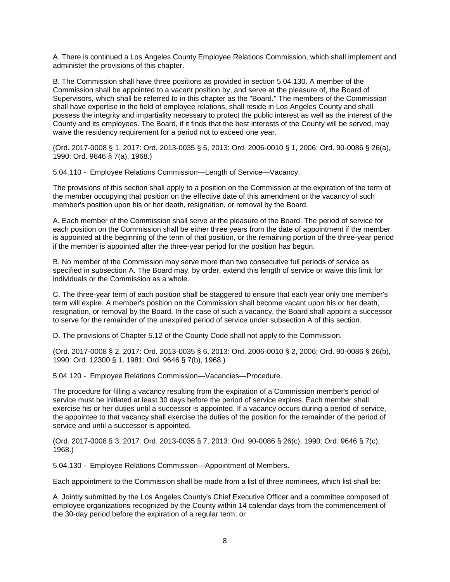A. There is continued a Los Angeles County Employee Relations Commission, which shall implement and administer the provisions of this chapter.

B. The Commission shall have three positions as provided in section 5.04.130. A member of the Commission shall be appointed to a vacant position by, and serve at the pleasure of, the Board of Supervisors, which shall be referred to in this chapter as the "Board." The members of the Commission shall have expertise in the field of employee relations, shall reside in Los Angeles County and shall possess the integrity and impartiality necessary to protect the public interest as well as the interest of the County and its employees. The Board, if it finds that the best interests of the County will be served, may waive the residency requirement for a period not to exceed one year.

(Ord. 2017-0008 § 1, 2017: Ord. 2013-0035 § 5, 2013: Ord. 2006-0010 § 1, 2006: Ord. 90-0086 § 26(a), 1990: Ord. 9646 § 7(a), 1968.)

5.04.110 - Employee Relations Commission—Length of Service—Vacancy.

The provisions of this section shall apply to a position on the Commission at the expiration of the term of the member occupying that position on the effective date of this amendment or the vacancy of such member's position upon his or her death, resignation, or removal by the Board.

A. Each member of the Commission shall serve at the pleasure of the Board. The period of service for each position on the Commission shall be either three years from the date of appointment if the member is appointed at the beginning of the term of that position, or the remaining portion of the three-year period if the member is appointed after the three-year period for the position has begun.

B. No member of the Commission may serve more than two consecutive full periods of service as specified in subsection A. The Board may, by order, extend this length of service or waive this limit for individuals or the Commission as a whole.

C. The three-year term of each position shall be staggered to ensure that each year only one member's term will expire. A member's position on the Commission shall become vacant upon his or her death, resignation, or removal by the Board. In the case of such a vacancy, the Board shall appoint a successor to serve for the remainder of the unexpired period of service under subsection A of this section.

D. The provisions of Chapter 5.12 of the County Code shall not apply to the Commission.

(Ord. 2017-0008 § 2, 2017: Ord. 2013-0035 § 6, 2013: Ord. 2006-0010 § 2, 2006; Ord. 90-0086 § 26(b), 1990: Ord. 12300 § 1, 1981: Ord. 9646 § 7(b), 1968.)

5.04.120 - Employee Relations Commission—Vacancies—Procedure.

The procedure for filling a vacancy resulting from the expiration of a Commission member's period of service must be initiated at least 30 days before the period of service expires. Each member shall exercise his or her duties until a successor is appointed. If a vacancy occurs during a period of service, the appointee to that vacancy shall exercise the duties of the position for the remainder of the period of service and until a successor is appointed.

(Ord. 2017-0008 § 3, 2017: Ord. 2013-0035 § 7, 2013: Ord. 90-0086 § 26(c), 1990: Ord. 9646 § 7(c), 1968.)

5.04.130 - Employee Relations Commission—Appointment of Members.

Each appointment to the Commission shall be made from a list of three nominees, which list shall be:

A. Jointly submitted by the Los Angeles County's Chief Executive Officer and a committee composed of employee organizations recognized by the County within 14 calendar days from the commencement of the 30-day period before the expiration of a regular term; or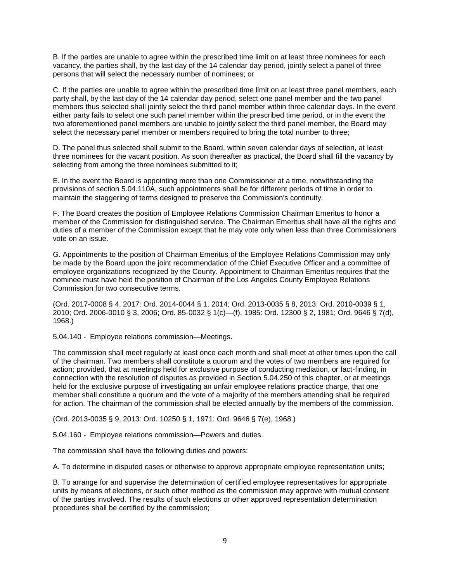B. If the parties are unable to agree within the prescribed time limit on at least three nominees for each vacancy, the parties shall, by the last day of the 14 calendar day period, jointly select a panel of three persons that will select the necessary number of nominees; or

C. If the parties are unable to agree within the prescribed time limit on at least three panel members, each party shall, by the last day of the 14 calendar day period, select one panel member and the two panel members thus selected shall jointly select the third panel member within three calendar days. In the event either party fails to select one such panel member within the prescribed time period, or in the event the two aforementioned panel members are unable to jointly select the third panel member, the Board may select the necessary panel member or members required to bring the total number to three;

D. The panel thus selected shall submit to the Board, within seven calendar days of selection, at least three nominees for the vacant position. As soon thereafter as practical, the Board shall fill the vacancy by selecting from among the three nominees submitted to it;

E. In the event the Board is appointing more than one Commissioner at a time, notwithstanding the provisions of section 5.04.110A, such appointments shall be for different periods of time in order to maintain the staggering of terms designed to preserve the Commission's continuity.

F. The Board creates the position of Employee Relations Commission Chairman Emeritus to honor a member of the Commission for distinguished service. The Chairman Emeritus shall have all the rights and duties of a member of the Commission except that he may vote only when less than three Commissioners vote on an issue.

G. Appointments to the position of Chairman Emeritus of the Employee Relations Commission may only be made by the Board upon the joint recommendation of the Chief Executive Officer and a committee of employee organizations recognized by the County. Appointment to Chairman Emeritus requires that the nominee must have held the position of Chairman of the Los Angeles County Employee Relations Commission for two consecutive terms.

(Ord. 2017-0008 § 4, 2017: Ord. 2014-0044 § 1, 2014; Ord. 2013-0035 § 8, 2013: Ord. 2010-0039 § 1, 2010; Ord. 2006-0010 § 3, 2006; Ord. 85-0032 § 1(c)—(f), 1985: Ord. 12300 § 2, 1981; Ord. 9646 § 7(d), 1968.)

5.04.140 - Employee relations commission—Meetings.

The commission shall meet regularly at least once each month and shall meet at other times upon the call of the chairman. Two members shall constitute a quorum and the votes of two members are required for action; provided, that at meetings held for exclusive purpose of conducting mediation, or fact-finding, in connection with the resolution of disputes as provided in Section 5.04.250 of this chapter, or at meetings held for the exclusive purpose of investigating an unfair employee relations practice charge, that one member shall constitute a quorum and the vote of a majority of the members attending shall be required for action. The chairman of the commission shall be elected annually by the members of the commission.

(Ord. 2013-0035 § 9, 2013: Ord. 10250 § 1, 1971: Ord. 9646 § 7(e), 1968.)

5.04.160 - Employee relations commission—Powers and duties.

The commission shall have the following duties and powers:

A. To determine in disputed cases or otherwise to approve appropriate employee representation units;

B. To arrange for and supervise the determination of certified employee representatives for appropriate units by means of elections, or such other method as the commission may approve with mutual consent of the parties involved. The results of such elections or other approved representation determination procedures shall be certified by the commission;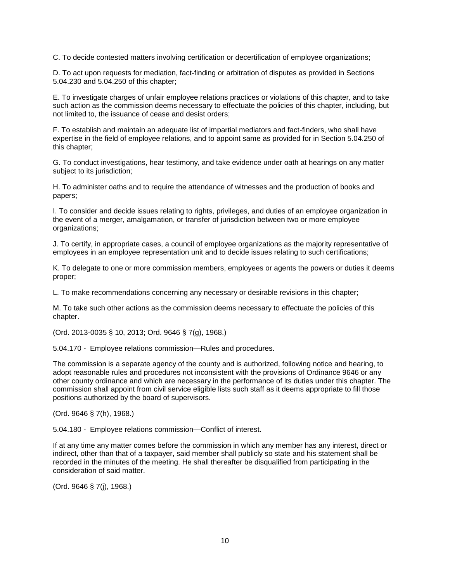C. To decide contested matters involving certification or decertification of employee organizations;

D. To act upon requests for mediation, fact-finding or arbitration of disputes as provided in Sections 5.04.230 and 5.04.250 of this chapter;

E. To investigate charges of unfair employee relations practices or violations of this chapter, and to take such action as the commission deems necessary to effectuate the policies of this chapter, including, but not limited to, the issuance of cease and desist orders;

F. To establish and maintain an adequate list of impartial mediators and fact-finders, who shall have expertise in the field of employee relations, and to appoint same as provided for in Section 5.04.250 of this chapter;

G. To conduct investigations, hear testimony, and take evidence under oath at hearings on any matter subject to its jurisdiction;

H. To administer oaths and to require the attendance of witnesses and the production of books and papers;

I. To consider and decide issues relating to rights, privileges, and duties of an employee organization in the event of a merger, amalgamation, or transfer of jurisdiction between two or more employee organizations;

J. To certify, in appropriate cases, a council of employee organizations as the majority representative of employees in an employee representation unit and to decide issues relating to such certifications;

K. To delegate to one or more commission members, employees or agents the powers or duties it deems proper;

L. To make recommendations concerning any necessary or desirable revisions in this chapter;

M. To take such other actions as the commission deems necessary to effectuate the policies of this chapter.

(Ord. 2013-0035 § 10, 2013; Ord. 9646 § 7(g), 1968.)

5.04.170 - Employee relations commission—Rules and procedures.

The commission is a separate agency of the county and is authorized, following notice and hearing, to adopt reasonable rules and procedures not inconsistent with the provisions of Ordinance 9646 or any other county ordinance and which are necessary in the performance of its duties under this chapter. The commission shall appoint from civil service eligible lists such staff as it deems appropriate to fill those positions authorized by the board of supervisors.

(Ord. 9646 § 7(h), 1968.)

5.04.180 - Employee relations commission—Conflict of interest.

If at any time any matter comes before the commission in which any member has any interest, direct or indirect, other than that of a taxpayer, said member shall publicly so state and his statement shall be recorded in the minutes of the meeting. He shall thereafter be disqualified from participating in the consideration of said matter.

(Ord. 9646 § 7(j), 1968.)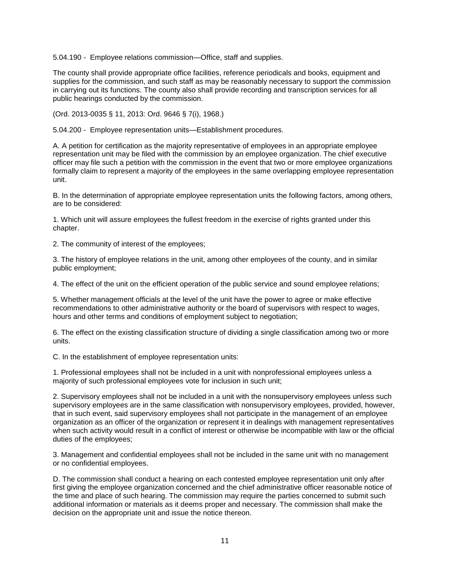5.04.190 - Employee relations commission—Office, staff and supplies.

The county shall provide appropriate office facilities, reference periodicals and books, equipment and supplies for the commission, and such staff as may be reasonably necessary to support the commission in carrying out its functions. The county also shall provide recording and transcription services for all public hearings conducted by the commission.

(Ord. 2013-0035 § 11, 2013: Ord. 9646 § 7(i), 1968.)

5.04.200 - Employee representation units—Establishment procedures.

A. A petition for certification as the majority representative of employees in an appropriate employee representation unit may be filed with the commission by an employee organization. The chief executive officer may file such a petition with the commission in the event that two or more employee organizations formally claim to represent a majority of the employees in the same overlapping employee representation unit.

B. In the determination of appropriate employee representation units the following factors, among others, are to be considered:

1. Which unit will assure employees the fullest freedom in the exercise of rights granted under this chapter.

2. The community of interest of the employees;

3. The history of employee relations in the unit, among other employees of the county, and in similar public employment;

4. The effect of the unit on the efficient operation of the public service and sound employee relations;

5. Whether management officials at the level of the unit have the power to agree or make effective recommendations to other administrative authority or the board of supervisors with respect to wages, hours and other terms and conditions of employment subject to negotiation;

6. The effect on the existing classification structure of dividing a single classification among two or more units.

C. In the establishment of employee representation units:

1. Professional employees shall not be included in a unit with nonprofessional employees unless a majority of such professional employees vote for inclusion in such unit;

2. Supervisory employees shall not be included in a unit with the nonsupervisory employees unless such supervisory employees are in the same classification with nonsupervisory employees, provided, however, that in such event, said supervisory employees shall not participate in the management of an employee organization as an officer of the organization or represent it in dealings with management representatives when such activity would result in a conflict of interest or otherwise be incompatible with law or the official duties of the employees;

3. Management and confidential employees shall not be included in the same unit with no management or no confidential employees.

D. The commission shall conduct a hearing on each contested employee representation unit only after first giving the employee organization concerned and the chief administrative officer reasonable notice of the time and place of such hearing. The commission may require the parties concerned to submit such additional information or materials as it deems proper and necessary. The commission shall make the decision on the appropriate unit and issue the notice thereon.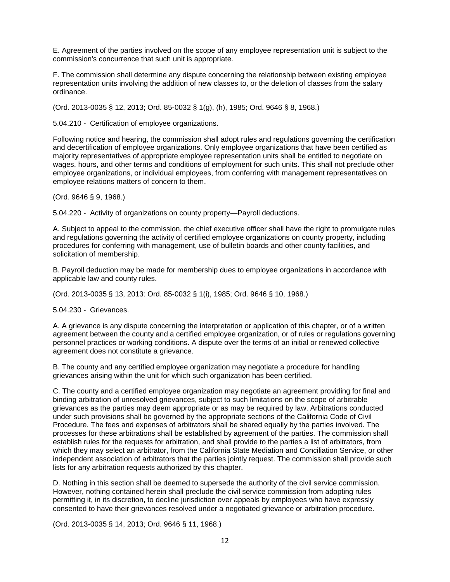E. Agreement of the parties involved on the scope of any employee representation unit is subject to the commission's concurrence that such unit is appropriate.

F. The commission shall determine any dispute concerning the relationship between existing employee representation units involving the addition of new classes to, or the deletion of classes from the salary ordinance.

(Ord. 2013-0035 § 12, 2013; Ord. 85-0032 § 1(g), (h), 1985; Ord. 9646 § 8, 1968.)

5.04.210 - Certification of employee organizations.

Following notice and hearing, the commission shall adopt rules and regulations governing the certification and decertification of employee organizations. Only employee organizations that have been certified as majority representatives of appropriate employee representation units shall be entitled to negotiate on wages, hours, and other terms and conditions of employment for such units. This shall not preclude other employee organizations, or individual employees, from conferring with management representatives on employee relations matters of concern to them.

(Ord. 9646 § 9, 1968.)

5.04.220 - Activity of organizations on county property—Payroll deductions.

A. Subject to appeal to the commission, the chief executive officer shall have the right to promulgate rules and regulations governing the activity of certified employee organizations on county property, including procedures for conferring with management, use of bulletin boards and other county facilities, and solicitation of membership.

B. Payroll deduction may be made for membership dues to employee organizations in accordance with applicable law and county rules.

(Ord. 2013-0035 § 13, 2013: Ord. 85-0032 § 1(i), 1985; Ord. 9646 § 10, 1968.)

5.04.230 - Grievances.

A. A grievance is any dispute concerning the interpretation or application of this chapter, or of a written agreement between the county and a certified employee organization, or of rules or regulations governing personnel practices or working conditions. A dispute over the terms of an initial or renewed collective agreement does not constitute a grievance.

B. The county and any certified employee organization may negotiate a procedure for handling grievances arising within the unit for which such organization has been certified.

C. The county and a certified employee organization may negotiate an agreement providing for final and binding arbitration of unresolved grievances, subject to such limitations on the scope of arbitrable grievances as the parties may deem appropriate or as may be required by law. Arbitrations conducted under such provisions shall be governed by the appropriate sections of the California Code of Civil Procedure. The fees and expenses of arbitrators shall be shared equally by the parties involved. The processes for these arbitrations shall be established by agreement of the parties. The commission shall establish rules for the requests for arbitration, and shall provide to the parties a list of arbitrators, from which they may select an arbitrator, from the California State Mediation and Conciliation Service, or other independent association of arbitrators that the parties jointly request. The commission shall provide such lists for any arbitration requests authorized by this chapter.

D. Nothing in this section shall be deemed to supersede the authority of the civil service commission. However, nothing contained herein shall preclude the civil service commission from adopting rules permitting it, in its discretion, to decline jurisdiction over appeals by employees who have expressly consented to have their grievances resolved under a negotiated grievance or arbitration procedure.

(Ord. 2013-0035 § 14, 2013; Ord. 9646 § 11, 1968.)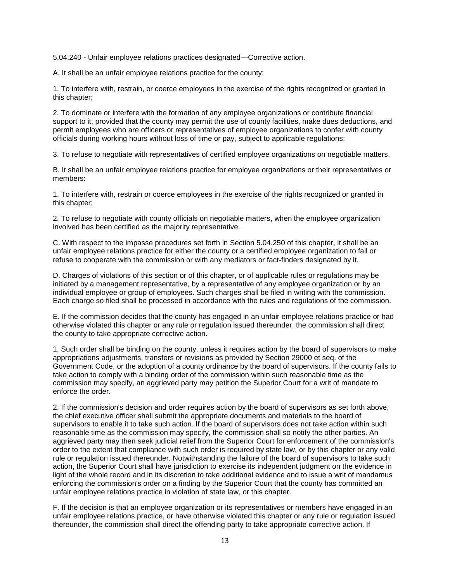5.04.240 - Unfair employee relations practices designated—Corrective action.

A. It shall be an unfair employee relations practice for the county:

1. To interfere with, restrain, or coerce employees in the exercise of the rights recognized or granted in this chapter;

2. To dominate or interfere with the formation of any employee organizations or contribute financial support to it, provided that the county may permit the use of county facilities, make dues deductions, and permit employees who are officers or representatives of employee organizations to confer with county officials during working hours without loss of time or pay, subject to applicable regulations;

3. To refuse to negotiate with representatives of certified employee organizations on negotiable matters.

B. It shall be an unfair employee relations practice for employee organizations or their representatives or members:

1. To interfere with, restrain or coerce employees in the exercise of the rights recognized or granted in this chapter;

2. To refuse to negotiate with county officials on negotiable matters, when the employee organization involved has been certified as the majority representative.

C. With respect to the impasse procedures set forth in Section 5.04.250 of this chapter, it shall be an unfair employee relations practice for either the county or a certified employee organization to fail or refuse to cooperate with the commission or with any mediators or fact-finders designated by it.

D. Charges of violations of this section or of this chapter, or of applicable rules or regulations may be initiated by a management representative, by a representative of any employee organization or by an individual employee or group of employees. Such charges shall be filed in writing with the commission. Each charge so filed shall be processed in accordance with the rules and regulations of the commission.

E. If the commission decides that the county has engaged in an unfair employee relations practice or had otherwise violated this chapter or any rule or regulation issued thereunder, the commission shall direct the county to take appropriate corrective action.

1. Such order shall be binding on the county, unless it requires action by the board of supervisors to make appropriations adjustments, transfers or revisions as provided by Section 29000 et seq. of the Government Code, or the adoption of a county ordinance by the board of supervisors. If the county fails to take action to comply with a binding order of the commission within such reasonable time as the commission may specify, an aggrieved party may petition the Superior Court for a writ of mandate to enforce the order.

2. If the commission's decision and order requires action by the board of supervisors as set forth above, the chief executive officer shall submit the appropriate documents and materials to the board of supervisors to enable it to take such action. If the board of supervisors does not take action within such reasonable time as the commission may specify, the commission shall so notify the other parties. An aggrieved party may then seek judicial relief from the Superior Court for enforcement of the commission's order to the extent that compliance with such order is required by state law, or by this chapter or any valid rule or regulation issued thereunder. Notwithstanding the failure of the board of supervisors to take such action, the Superior Court shall have jurisdiction to exercise its independent judgment on the evidence in light of the whole record and in its discretion to take additional evidence and to issue a writ of mandamus enforcing the commission's order on a finding by the Superior Court that the county has committed an unfair employee relations practice in violation of state law, or this chapter.

F. If the decision is that an employee organization or its representatives or members have engaged in an unfair employee relations practice, or have otherwise violated this chapter or any rule or regulation issued thereunder, the commission shall direct the offending party to take appropriate corrective action. If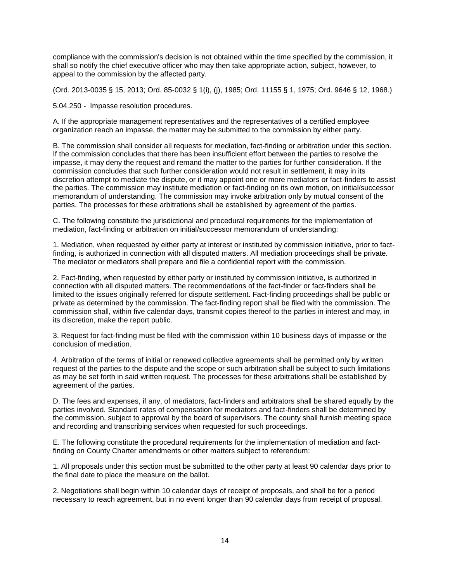compliance with the commission's decision is not obtained within the time specified by the commission, it shall so notify the chief executive officer who may then take appropriate action, subject, however, to appeal to the commission by the affected party.

(Ord. 2013-0035 § 15, 2013; Ord. 85-0032 § 1(i), (j), 1985; Ord. 11155 § 1, 1975; Ord. 9646 § 12, 1968.)

5.04.250 - Impasse resolution procedures.

A. If the appropriate management representatives and the representatives of a certified employee organization reach an impasse, the matter may be submitted to the commission by either party.

B. The commission shall consider all requests for mediation, fact-finding or arbitration under this section. If the commission concludes that there has been insufficient effort between the parties to resolve the impasse, it may deny the request and remand the matter to the parties for further consideration. If the commission concludes that such further consideration would not result in settlement, it may in its discretion attempt to mediate the dispute, or it may appoint one or more mediators or fact-finders to assist the parties. The commission may institute mediation or fact-finding on its own motion, on initial/successor memorandum of understanding. The commission may invoke arbitration only by mutual consent of the parties. The processes for these arbitrations shall be established by agreement of the parties.

C. The following constitute the jurisdictional and procedural requirements for the implementation of mediation, fact-finding or arbitration on initial/successor memorandum of understanding:

1. Mediation, when requested by either party at interest or instituted by commission initiative, prior to factfinding, is authorized in connection with all disputed matters. All mediation proceedings shall be private. The mediator or mediators shall prepare and file a confidential report with the commission.

2. Fact-finding, when requested by either party or instituted by commission initiative, is authorized in connection with all disputed matters. The recommendations of the fact-finder or fact-finders shall be limited to the issues originally referred for dispute settlement. Fact-finding proceedings shall be public or private as determined by the commission. The fact-finding report shall be filed with the commission. The commission shall, within five calendar days, transmit copies thereof to the parties in interest and may, in its discretion, make the report public.

3. Request for fact-finding must be filed with the commission within 10 business days of impasse or the conclusion of mediation.

4. Arbitration of the terms of initial or renewed collective agreements shall be permitted only by written request of the parties to the dispute and the scope or such arbitration shall be subject to such limitations as may be set forth in said written request. The processes for these arbitrations shall be established by agreement of the parties.

D. The fees and expenses, if any, of mediators, fact-finders and arbitrators shall be shared equally by the parties involved. Standard rates of compensation for mediators and fact-finders shall be determined by the commission, subject to approval by the board of supervisors. The county shall furnish meeting space and recording and transcribing services when requested for such proceedings.

E. The following constitute the procedural requirements for the implementation of mediation and factfinding on County Charter amendments or other matters subject to referendum:

1. All proposals under this section must be submitted to the other party at least 90 calendar days prior to the final date to place the measure on the ballot.

2. Negotiations shall begin within 10 calendar days of receipt of proposals, and shall be for a period necessary to reach agreement, but in no event longer than 90 calendar days from receipt of proposal.